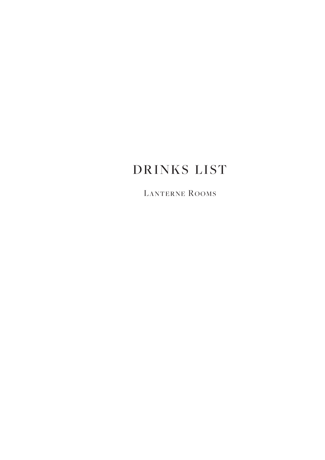# drinks list

Lanterne Rooms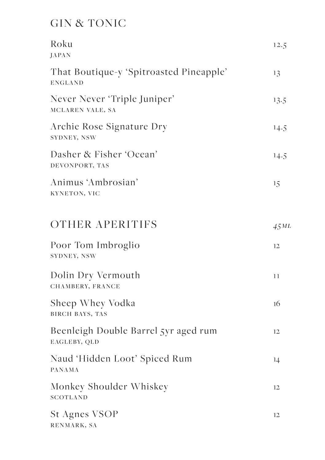### GIN & TONIC

| Roku<br>JAPAN                                             | 12.5 |
|-----------------------------------------------------------|------|
| That Boutique-y 'Spitroasted Pineapple'<br><b>ENGLAND</b> | 13   |
| Never Never 'Triple Juniper'<br>MCLAREN VALE, SA          | 13.5 |
| Archie Rose Signature Dry<br>SYDNEY, NSW                  | 14.5 |
| Dasher & Fisher 'Ocean'<br>DEVONPORT, TAS                 | 14.5 |
| Animus 'Ambrosian'<br>KYNETON, VIC                        | 15   |
| OTHER APERITIFS                                           | 45ML |
| Poor Tom Imbroglio<br>SYDNEY, NSW                         | 12   |
| Dolin Dry Vermouth<br>CHAMBERY, FRANCE                    | 11   |
| Sheep Whey Vodka<br>BIRCH BAYS, TAS                       | 16   |
| Beenleigh Double Barrel 5yr aged rum<br>EAGLEBY, QLD      | 12   |
| Naud 'Hidden Loot' Spiced Rum<br>PANAMA                   | 14   |
| Monkey Shoulder Whiskey<br>SCOTLAND                       | 12   |
| <b>St Agnes VSOP</b><br>RENMARK, SA                       | 12   |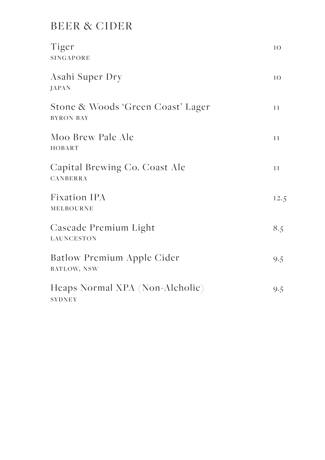### BEER & CIDER

| Tiger<br>SINGAPORE                                    | 10   |
|-------------------------------------------------------|------|
| Asahi Super Dry<br>JAPAN                              | 10   |
| Stone & Woods 'Green Coast' Lager<br><b>BYRON BAY</b> | 11   |
| Moo Brew Pale Ale<br>HOBART                           | 11   |
| Capital Brewing Co. Coast Ale<br>CANBERRA             | 11   |
| <b>Fixation IPA</b><br>MELBOURNE                      | 12.5 |
| Cascade Premium Light<br><b>LAUNCESTON</b>            | 8.5  |
| <b>Batlow Premium Apple Cider</b><br>BATLOW, NSW      | 9.5  |
| Heaps Normal XPA (Non-Alcholic)<br>SYDNEY             | 9.5  |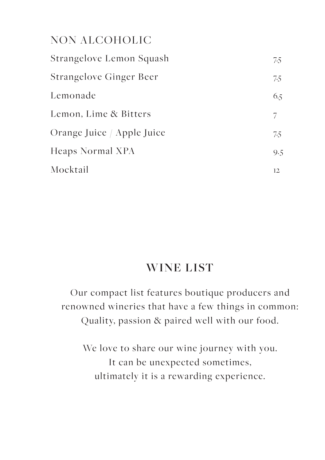### NON ALCOHOLIC

| Strangelove Lemon Squash       | 7.5 |
|--------------------------------|-----|
| <b>Strangelove Ginger Beer</b> | 7.5 |
| Lemonade                       | 6.5 |
| Lemon, Lime & Bitters          | 7   |
| Orange Juice / Apple Juice     | 7.5 |
| Heaps Normal XPA               | 9.5 |
| Mocktail                       | 12  |

### **WINE LIST**

Our compact list features boutique producers and renowned wineries that have a few things in common: Quality, passion & paired well with our food.

We love to share our wine journey with you. It can be unexpected sometimes, ultimately it is a rewarding experience.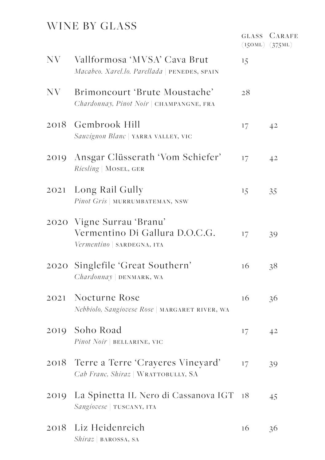### WINE BY GLASS

|      |                                                                                           | GLASS | CARAFE<br>$(150ML)$ $(375ML)$ |
|------|-------------------------------------------------------------------------------------------|-------|-------------------------------|
| NV.  | Vallformosa 'MVSA' Cava Brut<br>Macabeo. Xarel.lo. Parellada   PENEDES, SPAIN             | 15    |                               |
| NV.  | Brimoncourt 'Brute Moustache'<br>Chardonnay, Pinot Noir   CHAMPANGNE, FRA                 | 28    |                               |
| 2018 | Gembrook Hill<br>Sauvignon Blanc   YARRA VALLEY, VIC                                      | 17    | 4 <sup>2</sup>                |
| 2019 | Ansgar Clüsserath 'Vom Schiefer'<br>Riesling   MOSEL, GER                                 | 17    | 4 <sup>2</sup>                |
| 2021 | Long Rail Gully<br>Pinot Gris   MURRUMBATEMAN, NSW                                        | 15    | 35                            |
|      | 2020 Vigne Surrau 'Branu'<br>Vermentino Di Gallura D.O.C.G.<br>Vermentino   SARDEGNA, ITA | 17    | 39                            |
|      | 2020 Singlefile 'Great Southern'<br>Chardonnay   DENMARK, WA                              | 16    | 38                            |
| 2021 | Nocturne Rose<br>Nebbiolo, Sangiovese Rose   MARGARET RIVER, WA                           | 16    | 36                            |
| 2019 | Soho Road<br>Pinot Noir   BELLARINE, VIC                                                  | 17    | 4 <sup>2</sup>                |
|      | 2018 Terre a Terre 'Crayeres Vineyard'<br>Cab Franc, Shiraz   WRATTOBULLY, SA             | 17    | 39                            |
| 2019 | La Spinetta IL Nero di Cassanova IGT<br>Sangiovese   TUSCANY, ITA                         | 18    | 45                            |
| 2018 | Liz Heidenreich<br><i>Shiraz</i>   BAROSSA, SA                                            | 16    | 36                            |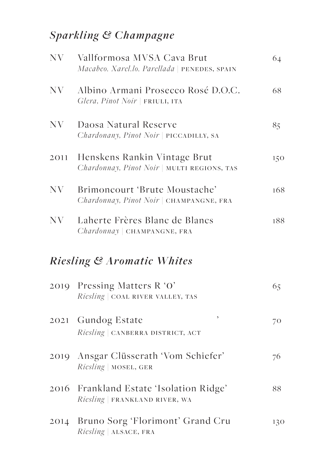## *Sparkling & Champagne*

| NV   | Vallformosa MVSA Cava Brut<br>Macabeo. Xarel.lo. Parellada   PENEDES, SPAIN | 64  |
|------|-----------------------------------------------------------------------------|-----|
| NV   | Albino Armani Prosecco Rosé D.O.C.<br>Glera, Pinot Noir   FRIULI, ITA       | 68  |
| N V  | Daosa Natural Reserve<br>Chardonany, Pinot Noir   PICCADILLY, SA            | 85  |
| 2011 | Henskens Rankin Vintage Brut<br>Chardonnay, Pinot Noir   MULTI REGIONS, TAS | 150 |
| N V  | Brimoncourt 'Brute Moustache'<br>Chardonnay, Pinot Noir   CHAMPANGNE, FRA   | 168 |
| NV - | Laherte Frères Blanc de Blancs<br>Chardonnay   CHAMPANGNE, FRA              | 188 |
|      | Riesling & Aromatic Whites                                                  |     |
| 2019 | Pressing Matters R 'O'<br>Riesling   COAL RIVER VALLEY, TAS                 | 65  |
| 2021 | ,<br><b>Gundog Estate</b><br>Riesling   CANBERRA DISTRICT, ACT              | 70  |
| 2019 | Ansgar Clüsserath 'Vom Schiefer'<br>Riesling   MOSEL, GER                   | 76  |
| 2016 | Frankland Estate 'Isolation Ridge'<br>Riesling   FRANKLAND RIVER, WA        | 88  |
| 2014 | Bruno Sorg 'Florimont' Grand Cru<br>Riesling   ALSACE, FRA                  | 130 |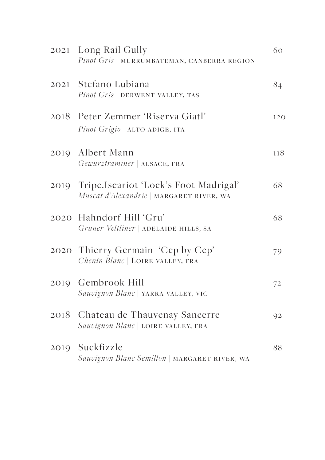| 2021 Long Rail Gully<br>Pinot Gris   MURRUMBATEMAN, CANBERRA REGION                    | 60  |
|----------------------------------------------------------------------------------------|-----|
| 2021 Stefano Lubiana<br>Pinot Gris   DERWENT VALLEY, TAS                               | 84  |
| 2018 Peter Zemmer 'Riserva Giatl'<br>Pinot Grigio   ALTO ADIGE, ITA                    | 120 |
| 2019 Albert Mann<br>Gewurztraminer   ALSACE, FRA                                       | 118 |
| 2019 Tripe.Iscariot 'Lock's Foot Madrigal'<br>Muscat d'Alexandrie   MARGARET RIVER, WA | 68  |
| 2020 Hahndorf Hill 'Gru'<br>Gruner Veltliner   ADELAIDE HILLS, SA                      | 68  |
| 2020 Thierry Germain 'Cep by Cep'<br>Chenin Blanc   LOIRE VALLEY, FRA                  | 79  |
| 2019 Gembrook Hill<br>Sauvignon Blanc   YARRA VALLEY, VIC                              | 72  |
| 2018 Chateau de Thauvenay Sancerre<br>Sauvignon Blanc   LOIRE VALLEY, FRA              | 92  |
| 2019 Suckfizzle<br>Sauvignon Blanc Semillon   MARGARET RIVER, WA                       | 88  |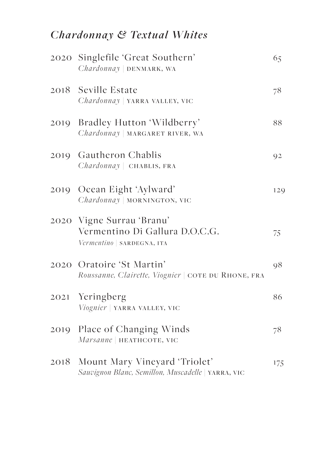## *Chardonnay & Textual Whites*

|      | 2020 Singlefile 'Great Southern'<br>Chardonnay   DENMARK, WA                              | 65  |
|------|-------------------------------------------------------------------------------------------|-----|
|      | 2018 Seville Estate<br>Chardonnay   YARRA VALLEY, VIC                                     | 78  |
|      | 2019 Bradley Hutton 'Wildberry'<br>Chardonnay   MARGARET RIVER, WA                        | 88  |
|      | 2019 Gautheron Chablis<br>Chardonnay   CHABLIS, FRA                                       | 92  |
|      | 2019 Ocean Eight 'Aylward'<br>Chardonnay   MORNINGTON, VIC                                | 129 |
|      | 2020 Vigne Surrau 'Branu'<br>Vermentino Di Gallura D.O.C.G.<br>Vermentino   SARDEGNA, ITA | 75  |
|      | 2020 Oratoire 'St Martin'<br>Roussanne, Clairette, Viognier   COTE DU RHONE, FRA          | 98  |
|      | 2021 Yeringberg<br>Viognier   YARRA VALLEY, VIC                                           | 86  |
|      | 2019 Place of Changing Winds<br>Marsanne   HEATHCOTE, VIC                                 | 78  |
| 2018 | Mount Mary Vineyard 'Triolet'<br>Sauvignon Blanc, Semillon, Muscadelle   YARRA, VIC       | 175 |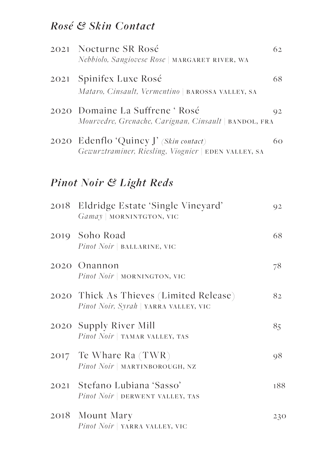### *Rosé & Skin Contact*

| 2021 | Nocturne SR Rosé<br>Nebbiolo, Sangiovese Rose   MARGARET RIVER, WA                             | 62  |
|------|------------------------------------------------------------------------------------------------|-----|
| 2021 | Spinifex Luxe Rosé<br>Mataro, Cinsault, Vermentino   BAROSSA VALLEY, SA                        | 68  |
|      | 2020 Domaine La Suffrene 'Rosé<br>Mourvedre, Grenache, Carignan, Cinsault   BANDOL, FRA        | 92  |
|      | 2020 Edenflo 'Quincy J' (Skin contact)<br>Gewurztraminer, Riesling, Viognier   EDEN VALLEY, SA | 60  |
|      | <b>Pinot Noir &amp; Light Reds</b>                                                             |     |
| 2018 | Eldridge Estate 'Single Vineyard'<br>Gamay   MORNINTGTON, VIC                                  | 92  |
|      | 2019 Soho Road<br>Pinot Noir   BALLARINE, VIC                                                  | 68  |
|      | 2020 Onannon<br>Pinot Noir   MORNINGTON, VIC                                                   | 78  |
|      | 2020 Thick As Thieves (Limited Release)<br>Pinot Noir, Syrah   YARRA VALLEY, VIC               | 82  |
|      | 2020 Supply River Mill<br>Pinot Noir   TAMAR VALLEY, TAS                                       | 85  |
|      | 2017 Te Whare Ra (TWR)<br>Pinot Noir   MARTINBOROUGH, NZ                                       | 98  |
| 2021 | Stefano Lubiana 'Sasso'<br>Pinot Noir   DERWENT VALLEY, TAS                                    | 188 |
| 2018 | Mount Mary<br>Pinot Noir   YARRA VALLEY, VIC                                                   | 230 |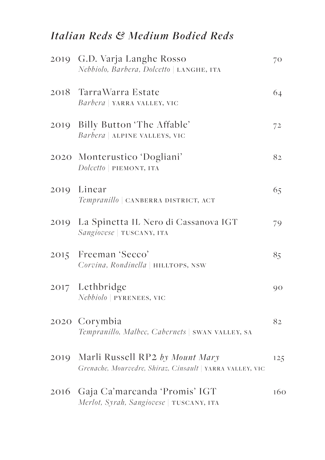### *Italian Reds & Medium Bodied Reds*

| 2019 G.D. Varja Langhe Rosso<br>Nebbiolo, Barbera, Dolcetto   LANGHE, ITA                         | 70  |
|---------------------------------------------------------------------------------------------------|-----|
| 2018 TarraWarra Estate<br>Barbera   YARRA VALLEY, VIC                                             | 64  |
| 2019 Billy Button 'The Affable'<br>Barbera   ALPINE VALLEYS, VIC                                  | 72  |
| 2020 Monterustico 'Dogliani'<br>Dolcetto   PIEMONT, ITA                                           | 82  |
| 2019 Linear<br>Tempranillo   CANBERRA DISTRICT, ACT                                               | 65  |
| 2019 La Spinetta IL Nero di Cassanova IGT<br>Sangiovese   TUSCANY, ITA                            | 79  |
| 2015 Freeman 'Secco'<br>Corvina, Rondinella   HILLTOPS, NSW                                       | 85  |
| 2017 Lethbridge<br>Nebbiolo   PYRENEES, VIC                                                       | 90  |
| 2020 Corymbia<br>Tempranillo, Malbec, Cabernets   SWAN VALLEY, SA                                 | 82  |
| 2019 Marli Russell RP2 by Mount Mary<br>Grenache, Mourvedre, Shiraz, Cinsault   YARRA VALLEY, VIC | 125 |
| 2016 - Gaja Ca'marcanda 'Promis' IGT<br>Merlot, Syrah, Sangiovese   TUSCANY, ITA                  | 160 |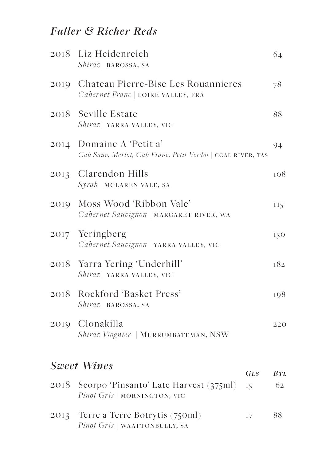### *Fuller & Richer Reds*

|      | 2018 Liz Heidenreich<br>Shiraz   BAROSSA, SA                                       |            | 64       |
|------|------------------------------------------------------------------------------------|------------|----------|
|      | 2019 Chateau Pierre-Bise Les Rouannieres<br>Cabernet Franc   LOIRE VALLEY, FRA     |            | 78       |
|      | 2018 Seville Estate<br>Shiraz   YARRA VALLEY, VIC                                  |            | 88       |
| 2014 | Domaine A 'Petit a'<br>Cab Sauv, Merlot, Cab Franc, Petit Verdot   COAL RIVER, TAS |            | 94       |
|      | 2013 Clarendon Hills<br>Syrah   MCLAREN VALE, SA                                   |            | 108      |
| 2019 | Moss Wood 'Ribbon Vale'<br>Cabernet Sauvignon   MARGARET RIVER, WA                 |            | 115      |
|      | 2017 Yeringberg<br>Cabernet Sauvignon   YARRA VALLEY, VIC                          |            | 150      |
|      | 2018 Yarra Yering 'Underhill'<br>Shiraz   YARRA VALLEY, VIC                        |            | 182      |
|      | 2018 Rockford 'Basket Press'<br>Shiraz   BAROSSA, SA                               |            | 198      |
|      | 2019 Clonakilla<br>Shiraz Viognier   MURRUMBATEMAN, NSW                            |            | 220      |
|      | <b>Sweet Wines</b>                                                                 | <b>GLS</b> | $_{BTL}$ |
| 2018 | Scorpo 'Pinsanto' Late Harvest (375ml)<br>Pinot Gris   MORNINGTON, VIC             | 15         | 62       |
| 2013 | Terre a Terre Botrytis (750ml)<br>Pinot Gris   WAATTONBULLY, SA                    | 17         | 88.      |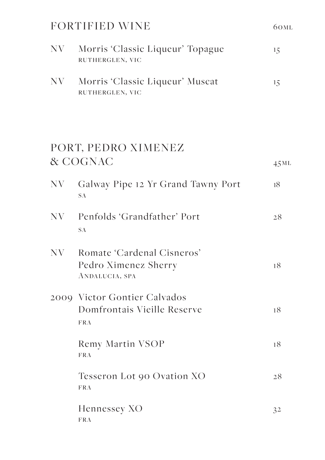|      | <b>FORTIFIED WINE</b>                                                     | 60 <sub>ML</sub> |
|------|---------------------------------------------------------------------------|------------------|
| NV.  | Morris 'Classic Liqueur' Topague<br>RUTHERGLEN, VIC                       | 15               |
| NV – | Morris 'Classic Liqueur' Muscat<br>RUTHERGLEN, VIC                        | 15               |
|      | PORT, PEDRO XIMENEZ<br>& COGNAC                                           | 45ML             |
| NV   | Galway Pipe 12 Yr Grand Tawny Port<br><b>SA</b>                           | 18               |
| NV   | Penfolds 'Grandfather' Port<br><b>SA</b>                                  | 28               |
| NV   | Romate 'Cardenal Cisneros'<br>Pedro Ximenez Sherry<br>ANDALUCIA, SPA      | 18               |
|      | 2009 Victor Gontier Calvados<br>Domfrontais Vieille Reserve<br><b>FRA</b> | 18               |
|      | Remy Martin VSOP                                                          | 18               |

Tesseron Lot 90 Ovation XO 28

FRA

FRA

FRA

Hennessey XO 32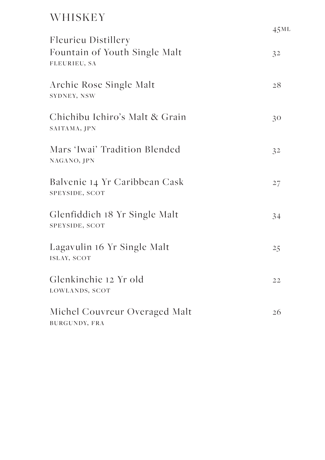### WHISKEY

| Fleurieu Distillery                             | 45ML           |
|-------------------------------------------------|----------------|
| Fountain of Youth Single Malt<br>FLEURIEU, SA   | 3 <sup>2</sup> |
| Archie Rose Single Malt<br>SYDNEY, NSW          | 28             |
| Chichibu Ichiro's Malt & Grain<br>SAITAMA, JPN  | 30             |
| Mars 'Iwai' Tradition Blended<br>NAGANO, JPN    | 3 <sup>2</sup> |
| Balvenie 14 Yr Caribbean Cask<br>SPEYSIDE, SCOT | 27             |
| Glenfiddich 18 Yr Single Malt<br>SPEYSIDE, SCOT | 34             |
| Lagavulin 16 Yr Single Malt<br>ISLAY, SCOT      | 25             |
| Glenkinchie 12 Yr old<br>LOWLANDS, SCOT         | 22             |
| Michel Couvreur Overaged Malt<br>BURGUNDY, FRA  | 26             |